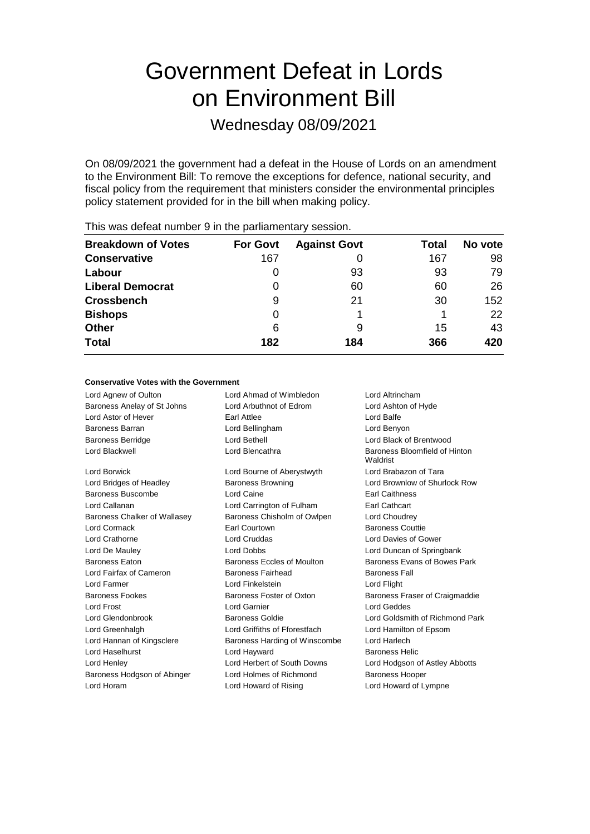# Government Defeat in Lords on Environment Bill

Wednesday 08/09/2021

On 08/09/2021 the government had a defeat in the House of Lords on an amendment to the Environment Bill: To remove the exceptions for defence, national security, and fiscal policy from the requirement that ministers consider the environmental principles policy statement provided for in the bill when making policy.

| <b>For Govt</b> | <b>Against Govt</b> | Total | No vote |
|-----------------|---------------------|-------|---------|
| 167             |                     | 167   | 98      |
| $\Omega$        | 93                  | 93    | 79      |
| $\Omega$        | 60                  | 60    | 26      |
| 9               | 21                  | 30    | 152     |
| Ω               |                     |       | 22      |
| 6               | 9                   | 15    | 43      |
| 182             | 184                 | 366   | 420     |
|                 |                     |       |         |

This was defeat number 9 in the parliamentary session.

## **Conservative Votes with the Government**

| Lord Agnew of Oulton         | Lord Ahmad of Wimbledon       | Lord Altrincham                           |
|------------------------------|-------------------------------|-------------------------------------------|
| Baroness Anelay of St Johns  | Lord Arbuthnot of Edrom       | Lord Ashton of Hyde                       |
| Lord Astor of Hever          | Earl Attlee                   | Lord Balfe                                |
| Baroness Barran              | Lord Bellingham               | Lord Benyon                               |
| <b>Baroness Berridge</b>     | I ord Bethell                 | Lord Black of Brentwood                   |
| Lord Blackwell               | Lord Blencathra               | Baroness Bloomfield of Hinton<br>Waldrist |
| Lord Borwick                 | Lord Bourne of Aberystwyth    | Lord Brabazon of Tara                     |
| Lord Bridges of Headley      | <b>Baroness Browning</b>      | Lord Brownlow of Shurlock Row             |
| Baroness Buscombe            | Lord Caine                    | <b>Earl Caithness</b>                     |
| Lord Callanan                | Lord Carrington of Fulham     | <b>Earl Cathcart</b>                      |
| Baroness Chalker of Wallasey | Baroness Chisholm of Owlpen   | Lord Choudrey                             |
| Lord Cormack                 | <b>Farl Courtown</b>          | <b>Baroness Couttie</b>                   |
| Lord Crathorne               | Lord Cruddas                  | Lord Davies of Gower                      |
| Lord De Mauley               | Lord Dobbs                    | Lord Duncan of Springbank                 |
| <b>Baroness Faton</b>        | Baroness Eccles of Moulton    | Baroness Evans of Bowes Park              |
| Lord Fairfax of Cameron      | <b>Baroness Fairhead</b>      | <b>Baroness Fall</b>                      |
| Lord Farmer                  | Lord Finkelstein              | Lord Flight                               |
| <b>Baroness Fookes</b>       | Baroness Foster of Oxton      | Baroness Fraser of Craigmaddie            |
| <b>Lord Frost</b>            | Lord Garnier                  | <b>Lord Geddes</b>                        |
| Lord Glendonbrook            | Baroness Goldie               | Lord Goldsmith of Richmond Park           |
| Lord Greenhalgh              | Lord Griffiths of Fforestfach | Lord Hamilton of Epsom                    |
| Lord Hannan of Kingsclere    | Baroness Harding of Winscombe | Lord Harlech                              |
| Lord Haselhurst              | Lord Hayward                  | <b>Baroness Helic</b>                     |
| Lord Henley                  | Lord Herbert of South Downs   | Lord Hodgson of Astley Abbotts            |
| Baroness Hodgson of Abinger  | Lord Holmes of Richmond       | <b>Baroness Hooper</b>                    |
| Lord Horam                   | Lord Howard of Rising         | Lord Howard of Lympne                     |
|                              |                               |                                           |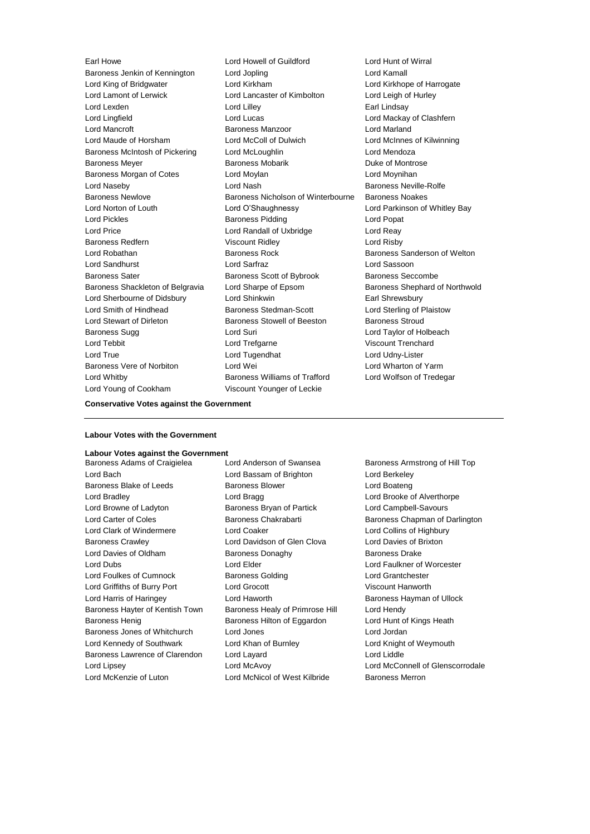Lord Young of Cookham Viscount Younger of Leckie

Earl Howe Lord Howell of Guildford Lord Hunt of Wirral Baroness Jenkin of Kennington Lord Jopling Lord Kamall Lord King of Bridgwater Lord Kirkham Lord Kirkhope of Harrogate Lord Lamont of Lerwick Lord Lancaster of Kimbolton Lord Leigh of Hurley Lord Lexden **Lord Lilley** Lord Lilley **Communical** Lord Lilley Lord Lingfield Lord Lucas Lord Mackay of Clashfern Lord Mancroft **Baroness Manzoor** Baroness Manzoor **Lord Marland** Lord Maude of Horsham Lord McColl of Dulwich Lord McInnes of Kilwinning Baroness McIntosh of Pickering Lord McLoughlin Lord Mendoza Baroness Meyer **Baroness Mobarik** Baroness Mobarik **Duke of Montrose** Baroness Morgan of Cotes **Lord Moylan** Lord Moynihan **Lord Moynihan** Lord Naseby **Lord Nash Baroness Neville-Rolfe** Baroness Newlove **Baroness Nicholson of Winterbourne** Baroness Noakes Lord Norton of Louth Lord O'Shaughnessy Lord Parkinson of Whitley Bay Lord Pickles Baroness Pidding Lord Popat Lord Price Lord Randall of Uxbridge Lord Reay Baroness Redfern Viscount Ridley Correct Lord Risby Lord Robathan Baroness Rock Baroness Sanderson of Welton Lord Sandhurst Lord Sarfraz Lord Sassoon Baroness Sater **Baroness Scott of Bybrook** Baroness Seccombe Baroness Shackleton of Belgravia Lord Sharpe of Epsom Baroness Shephard of Northwold Lord Sherbourne of Didsbury Lord Shinkwin **Earl Shrewsbury** Lord Smith of Hindhead Baroness Stedman-Scott Lord Sterling of Plaistow Lord Stewart of Dirleton **Baroness Stowell of Beeston** Baroness Stroud Baroness Sugg Lord Suri Lord Taylor of Holbeach Lord Tebbit Lord Trefgarne Viscount Trenchard Lord True Lord Tugendhat Lord Udny-Lister Baroness Vere of Norbiton **Lord Wei** Lord Wei Lord Wharton of Yarm Lord Whitby **Baroness Williams of Trafford** Lord Wolfson of Tredegar

### **Conservative Votes against the Government**

## **Labour Votes with the Government**

## **Labour Votes against the Government**

Lord Bach Lord Bassam of Brighton Lord Berkeley Baroness Blake of Leeds **Baroness Blower** Baroness Blower **Lord Boateng** Lord Bradley **Lord Bragg Lord Brooke of Alverthorpe Lord Bragg** Lord Brooke of Alverthorpe Lord Browne of Ladyton Baroness Bryan of Partick Lord Campbell-Savours Lord Carter of Coles **Baroness Chakrabarti** Baroness Chapman of Darlington Lord Clark of Windermere Lord Coaker Lord Collins of Highbury Baroness Crawley Lord Davidson of Glen Clova Lord Davies of Brixton Lord Davies of Oldham Baroness Donaghy Baroness Davies Baroness Drake Lord Dubs Lord Elder Lord Faulkner of Worcester Lord Foulkes of Cumnock Baroness Golding Lord Grantchester Lord Griffiths of Burry Port Lord Grocott Viscount Hanworth Lord Harris of Haringey Lord Haworth Baroness Hayman of Ullock Baroness Hayter of Kentish Town Baroness Healy of Primrose Hill Lord Hendy Baroness Henig **Baroness Hilton of Eggardon** Lord Hunt of Kings Heath Baroness Jones of Whitchurch Lord Jones Lord Jordan Lord Kennedy of Southwark Lord Khan of Burnley **Lord Knight of Weymouth** Baroness Lawrence of Clarendon Lord Layard Lord Lord Lord Liddle Lord Lipsey Lord McAvoy Lord McConnell of Glenscorrodale

Baroness Adams of Craigielea Lord Anderson of Swansea Baroness Armstrong of Hill Top Lord McKenzie of Luton Lord McNicol of West Kilbride Baroness Merron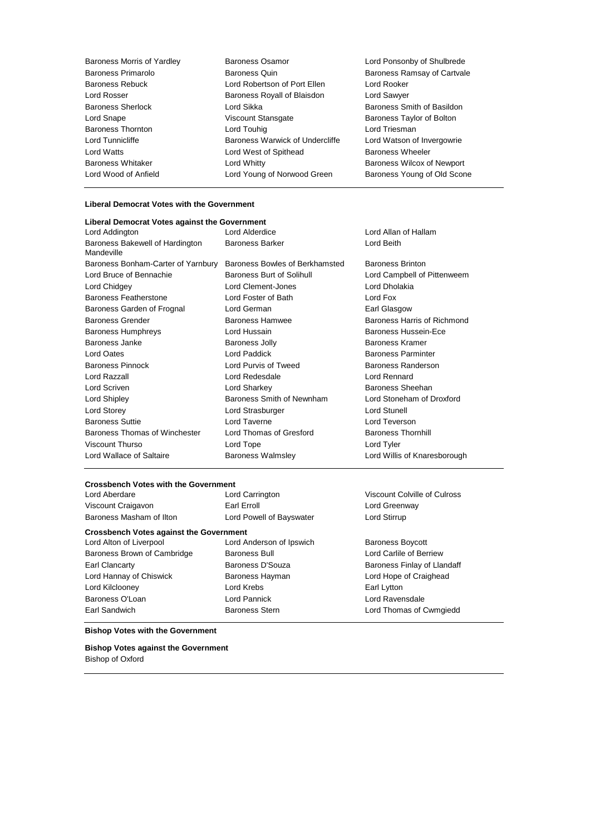| <b>Baroness Morris of Yardley</b> | <b>Baroness Osamor</b>          | Lord Ponsonby of Shulbrede        |
|-----------------------------------|---------------------------------|-----------------------------------|
| Baroness Primarolo                | Baroness Quin                   | Baroness Ramsay of Cartvale       |
| Baroness Rebuck                   | Lord Robertson of Port Ellen    | Lord Rooker                       |
| Lord Rosser                       | Baroness Royall of Blaisdon     | Lord Sawyer                       |
| Baroness Sherlock                 | Lord Sikka                      | Baroness Smith of Basildon        |
| Lord Snape                        | Viscount Stansgate              | Baroness Taylor of Bolton         |
| <b>Baroness Thornton</b>          | Lord Touhig                     | Lord Triesman                     |
| Lord Tunnicliffe                  | Baroness Warwick of Undercliffe | Lord Watson of Invergowrie        |
| Lord Watts                        | Lord West of Spithead           | <b>Baroness Wheeler</b>           |
| Baroness Whitaker                 | Lord Whitty                     | <b>Baroness Wilcox of Newport</b> |
| Lord Wood of Anfield              | Lord Young of Norwood Green     | Baroness Young of Old Scone       |
|                                   |                                 |                                   |

## **Liberal Democrat Votes with the Government**

| Liberal Democrat Votes against the Government |                                  |                              |
|-----------------------------------------------|----------------------------------|------------------------------|
| Lord Addington                                | Lord Alderdice                   | Lord Allan of Hallam         |
| Baroness Bakewell of Hardington<br>Mandeville | <b>Baroness Barker</b>           | Lord Beith                   |
| Baroness Bonham-Carter of Yarnbury            | Baroness Bowles of Berkhamsted   | <b>Baroness Brinton</b>      |
| Lord Bruce of Bennachie                       | <b>Baroness Burt of Solihull</b> | Lord Campbell of Pittenweem  |
| Lord Chidgey                                  | Lord Clement-Jones               | Lord Dholakia                |
| <b>Baroness Featherstone</b>                  | Lord Foster of Bath              | Lord Fox                     |
| Baroness Garden of Frognal                    | Lord German                      | Earl Glasgow                 |
| <b>Baroness Grender</b>                       | <b>Baroness Hamwee</b>           | Baroness Harris of Richmond  |
| <b>Baroness Humphreys</b>                     | Lord Hussain                     | Baroness Hussein-Ece         |
| Baroness Janke                                | <b>Baroness Jolly</b>            | <b>Baroness Kramer</b>       |
| Lord Oates                                    | Lord Paddick                     | <b>Baroness Parminter</b>    |
| <b>Baroness Pinnock</b>                       | Lord Purvis of Tweed             | Baroness Randerson           |
| Lord Razzall                                  | Lord Redesdale                   | Lord Rennard                 |
| Lord Scriven                                  | Lord Sharkey                     | Baroness Sheehan             |
| Lord Shipley                                  | Baroness Smith of Newnham        | Lord Stoneham of Droxford    |
| <b>Lord Storey</b>                            | Lord Strasburger                 | <b>Lord Stunell</b>          |
| <b>Baroness Suttie</b>                        | Lord Taverne                     | Lord Teverson                |
| Baroness Thomas of Winchester                 | Lord Thomas of Gresford          | <b>Baroness Thornhill</b>    |
| Viscount Thurso                               | Lord Tope                        | Lord Tyler                   |
| Lord Wallace of Saltaire                      | <b>Baroness Walmsley</b>         | Lord Willis of Knaresborough |

## **Crossbench Votes with the Government**<br>Lord Aberdare Lord Carrington

Lord Aberdare Lord Carrington Viscount Colville of Culross Viscount Craigavon **Earl Erroll** Earl Erroll **Example 20** Lord Greenway Baroness Masham of Ilton Lord Powell of Bayswater Lord Stirrup

**Crossbench Votes against the Government Lord Alton of Liverpool Lord A** 

Baroness Brown of Cambridge Baroness Bull **Baroness Bull** Lord Carlile of Berriew Earl Clancarty **Baroness D'Souza** Baroness D'Souza Baroness Finlay of Llandaff Lord Hannay of Chiswick **Baroness Hayman** Lord Hope of Craighead Lord Kilclooney **Lord Krebs Earl Lytton** Baroness O'Loan **Lord Pannick** Lord Pannick Lord Ravensdale

Lord Anderson of Ipswich Baroness Boycott

Earl Sandwich **Baroness Stern Baroness Stern** Lord Thomas of Cwmgiedd

### **Bishop Votes with the Government**

**Bishop Votes against the Government** Bishop of Oxford